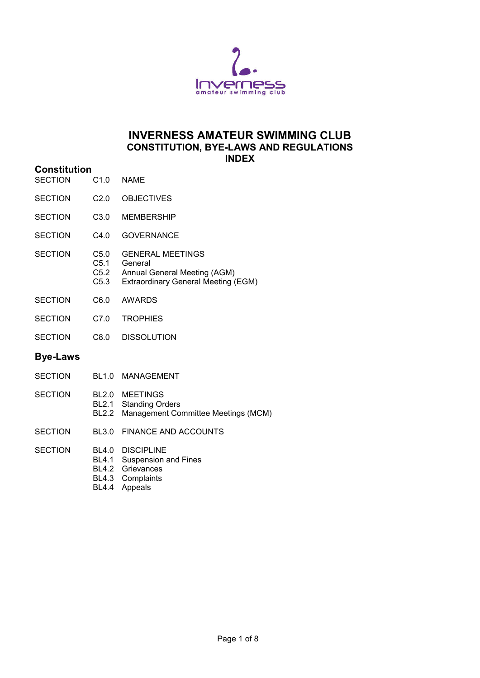

### **INVERNESS AMATEUR SWIMMING CLUB CONSTITUTION, BYE-LAWS AND REGULATIONS INDEX**

- **Constitution** SECTION C1.0 NAME
- SECTION C2.0 OBJECTIVES
- SECTION C3.0 MEMBERSHIP
- SECTION C4.0 GOVERNANCE
- SECTION C5.0 GENERAL MEETINGS<br>C5.1 General C5.1 General<br>C5.2 Annual C5.2 Annual General Meeting (AGM)<br>C5.3 Extraordinary General Meeting ( Extraordinary General Meeting (EGM)
- SECTION C6.0 AWARDS
- SECTION C7.0 TROPHIES
- SECTION C8.0 DISSOLUTION

#### **Bye-Laws**

- SECTION BL1.0 MANAGEMENT
- SECTION BL2.0 MEETINGS BL2.1 Standing Orders BL2.2 Management Committee Meetings (MCM)
- SECTION BL3.0 FINANCE AND ACCOUNTS
- SECTION BL4.0 DISCIPLINE
	- BL4.1 Suspension and Fines
	- BL4.2 Grievances
	- BL4.3 Complaints
	- BL4.4 Appeals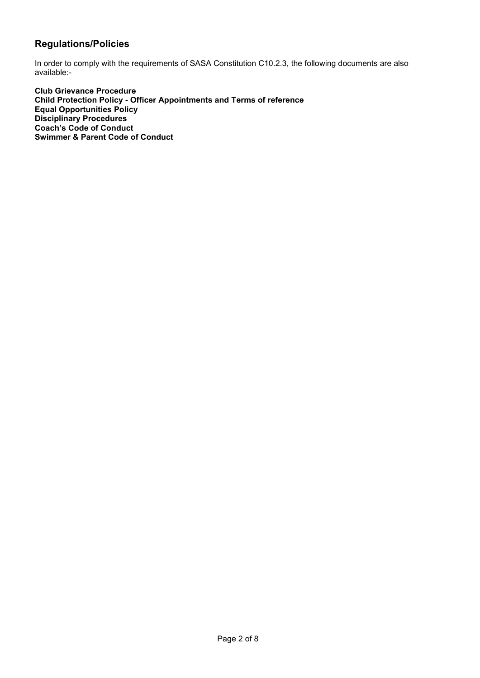### **Regulations/Policies**

In order to comply with the requirements of SASA Constitution C10.2.3, the following documents are also available:-

**Club Grievance Procedure Child Protection Policy - Officer Appointments and Terms of reference Equal Opportunities Policy Disciplinary Procedures Coach's Code of Conduct Swimmer & Parent Code of Conduct**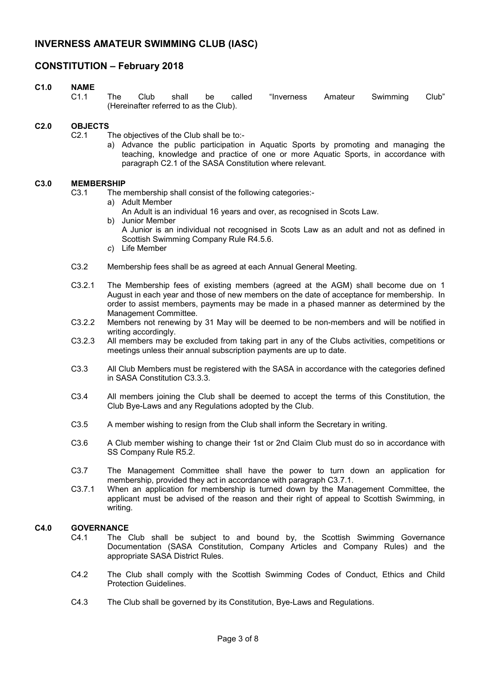### **CONSTITUTION – February 2018**

#### **C1.0 NAME**

C1.1 The Club shall be called "Inverness Amateur Swimming Club" (Hereinafter referred to as the Club).

#### **C2.0 OBJECTS**

- C2.1 The objectives of the Club shall be to:
	- a) Advance the public participation in Aquatic Sports by promoting and managing the teaching, knowledge and practice of one or more Aquatic Sports, in accordance with paragraph C2.1 of the SASA Constitution where relevant.

#### **C3.0 MEMBERSHIP**

C3.1 The membership shall consist of the following categories:-

- a) Adult Member
	- An Adult is an individual 16 years and over, as recognised in Scots Law.
- b) Junior Member A Junior is an individual not recognised in Scots Law as an adult and not as defined in Scottish Swimming Company Rule R4.5.6.
- *c*) Life Member
- C3.2 Membership fees shall be as agreed at each Annual General Meeting.
- C3.2.1 The Membership fees of existing members (agreed at the AGM) shall become due on 1 August in each year and those of new members on the date of acceptance for membership. In order to assist members, payments may be made in a phased manner as determined by the Management Committee*.*
- C3.2.2 Members not renewing by 31 May will be deemed to be non-members and will be notified in writing accordingly.
- C3.2.3 All members may be excluded from taking part in any of the Clubs activities, competitions or meetings unless their annual subscription payments are up to date.
- C3.3 All Club Members must be registered with the SASA in accordance with the categories defined in SASA Constitution C3.3.3.
- C3.4 All members joining the Club shall be deemed to accept the terms of this Constitution, the Club Bye-Laws and any Regulations adopted by the Club.
- C3.5 A member wishing to resign from the Club shall inform the Secretary in writing.
- C3.6 A Club member wishing to change their 1st or 2nd Claim Club must do so in accordance with SS Company Rule R5.2.
- C3.7 The Management Committee shall have the power to turn down an application for membership, provided they act in accordance with paragraph C3.7.1.
- C3.7.1 When an application for membership is turned down by the Management Committee, the applicant must be advised of the reason and their right of appeal to Scottish Swimming, in writing.

### **C4.0 GOVERNANCE**

- C4.1 The Club shall be subject to and bound by, the Scottish Swimming Governance Documentation (SASA Constitution, Company Articles and Company Rules) and the appropriate SASA District Rules.
- C4.2 The Club shall comply with the Scottish Swimming Codes of Conduct, Ethics and Child Protection Guidelines.
- C4.3 The Club shall be governed by its Constitution, Bye-Laws and Regulations.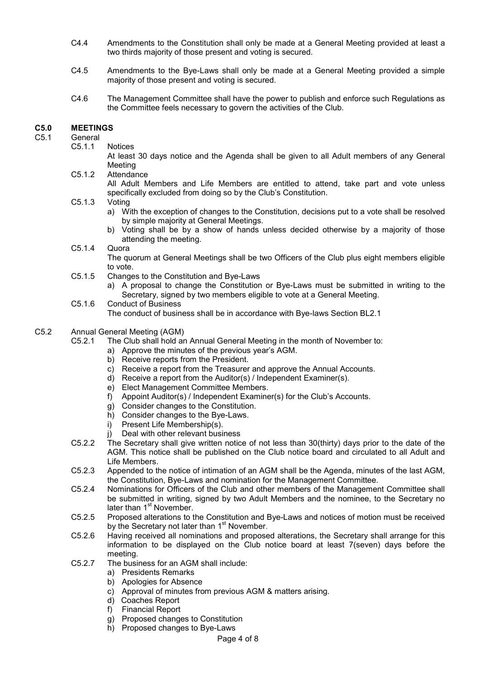- C4.4 Amendments to the Constitution shall only be made at a General Meeting provided at least a two thirds majority of those present and voting is secured.
- C4.5 Amendments to the Bye-Laws shall only be made at a General Meeting provided a simple majority of those present and voting is secured.
- C4.6 The Management Committee shall have the power to publish and enforce such Regulations as the Committee feels necessary to govern the activities of the Club.

#### **C5.0 MEETINGS**

# C5.1 General<br>C5.1.1

**Notices** 

At least 30 days notice and the Agenda shall be given to all Adult members of any General Meeting

- C5.1.2 Attendance All Adult Members and Life Members are entitled to attend, take part and vote unless specifically excluded from doing so by the Club's Constitution.
- C5.1.3 Voting
	- a) With the exception of changes to the Constitution, decisions put to a vote shall be resolved by simple majority at General Meetings.
	- b) Voting shall be by a show of hands unless decided otherwise by a majority of those attending the meeting.
- C5.1.4 Quora

The quorum at General Meetings shall be two Officers of the Club plus eight members eligible to vote.

- C5.1.5 Changes to the Constitution and Bye-Laws
	- a) A proposal to change the Constitution or Bye-Laws must be submitted in writing to the Secretary, signed by two members eligible to vote at a General Meeting.
- C5.1.6 Conduct of Business

The conduct of business shall be in accordance with Bye-laws Section BL2.1

#### C5.2 Annual General Meeting (AGM)

C5.2.1 The Club shall hold an Annual General Meeting in the month of November to:

- a) Approve the minutes of the previous year's AGM.
	- b) Receive reports from the President.
	- c) Receive a report from the Treasurer and approve the Annual Accounts.
	- d) Receive a report from the Auditor(s) / Independent Examiner(s).
	- e) Elect Management Committee Members.
	- f) Appoint Auditor(s) / Independent Examiner(s) for the Club's Accounts.
	- g) Consider changes to the Constitution.
	- h) Consider changes to the Bye-Laws.
	- i) Present Life Membership(s).
	- j) Deal with other relevant business
- C5.2.2 The Secretary shall give written notice of not less than 30(thirty) days prior to the date of the AGM. This notice shall be published on the Club notice board and circulated to all Adult and Life Members.
- C5.2.3 Appended to the notice of intimation of an AGM shall be the Agenda, minutes of the last AGM, the Constitution, Bye-Laws and nomination for the Management Committee.
- C5.2.4 Nominations for Officers of the Club and other members of the Management Committee shall be submitted in writing, signed by two Adult Members and the nominee, to the Secretary no later than 1<sup>st</sup> November.
- C5.2.5 Proposed alterations to the Constitution and Bye-Laws and notices of motion must be received by the Secretary not later than 1<sup>st</sup> November.
- C5.2.6 Having received all nominations and proposed alterations, the Secretary shall arrange for this information to be displayed on the Club notice board at least 7(seven) days before the meeting.
- C5.2.7 The business for an AGM shall include:
	- a) Presidents Remarks
		- b) Apologies for Absence
	- c) Approval of minutes from previous AGM & matters arising.
	- d) Coaches Report
	- f) Financial Report
	- g) Proposed changes to Constitution
	- h) Proposed changes to Bye-Laws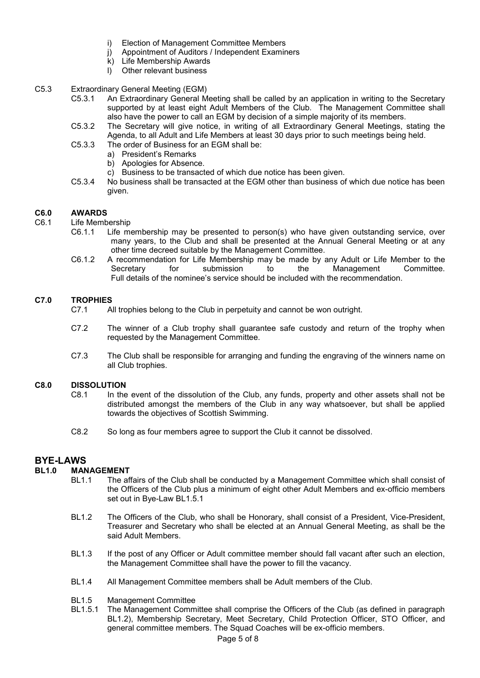- i) Election of Management Committee Members
- j) Appointment of Auditors / Independent Examiners
- k) Life Membership Awards
- l) Other relevant business
- C5.3 Extraordinary General Meeting (EGM)
	- C5.3.1 An Extraordinary General Meeting shall be called by an application in writing to the Secretary supported by at least eight Adult Members of the Club. The Management Committee shall also have the power to call an EGM by decision of a simple majority of its members.
	- C5.3.2 The Secretary will give notice, in writing of all Extraordinary General Meetings, stating the Agenda, to all Adult and Life Members at least 30 days prior to such meetings being held.
	- C5.3.3 The order of Business for an EGM shall be:
		- a) President's Remarks
		- b) Apologies for Absence.
		- c) Business to be transacted of which due notice has been given.
	- C5.3.4 No business shall be transacted at the EGM other than business of which due notice has been given.

#### **C6.0 AWARDS**

- C6.1 Life Membership
	- C6.1.1 Life membership may be presented to person(s) who have given outstanding service, over many years, to the Club and shall be presented at the Annual General Meeting or at any other time decreed suitable by the Management Committee.
	- C6.1.2 A recommendation for Life Membership may be made by any Adult or Life Member to the Secretary for submission to the Management Committee. Full details of the nominee's service should be included with the recommendation.

#### **C7.0 TROPHIES**

- C7.1 All trophies belong to the Club in perpetuity and cannot be won outright.
- C7.2 The winner of a Club trophy shall guarantee safe custody and return of the trophy when requested by the Management Committee.
- C7.3 The Club shall be responsible for arranging and funding the engraving of the winners name on all Club trophies.

#### **C8.0 DISSOLUTION**

- C8.1 In the event of the dissolution of the Club, any funds, property and other assets shall not be distributed amongst the members of the Club in any way whatsoever, but shall be applied towards the objectives of Scottish Swimming.
- C8.2 So long as four members agree to support the Club it cannot be dissolved.

# **BYE-LAWS**

# **MANAGEMENT**<br>BL1.1 The af-

- The affairs of the Club shall be conducted by a Management Committee which shall consist of the Officers of the Club plus a minimum of eight other Adult Members and ex-officio members set out in Bye-Law BL1.5.1
- BL1.2 The Officers of the Club, who shall be Honorary, shall consist of a President, Vice-President, Treasurer and Secretary who shall be elected at an Annual General Meeting, as shall be the said Adult Members.
- BL1.3 If the post of any Officer or Adult committee member should fall vacant after such an election, the Management Committee shall have the power to fill the vacancy.
- BL1.4 All Management Committee members shall be Adult members of the Club.

### BL1.5 Management Committee<br>BL1.5.1 The Management Comm

The Management Committee shall comprise the Officers of the Club (as defined in paragraph BL1.2), Membership Secretary, Meet Secretary, Child Protection Officer, STO Officer, and general committee members. The Squad Coaches will be ex-officio members.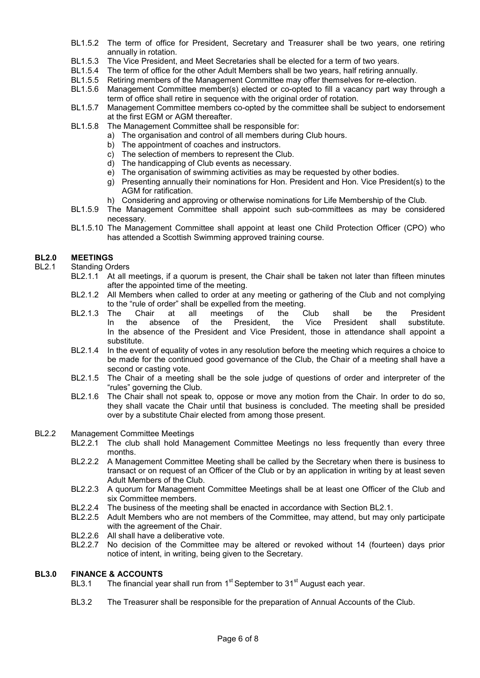- BL1.5.2 The term of office for President, Secretary and Treasurer shall be two years, one retiring annually in rotation.
- BL1.5.3 The Vice President, and Meet Secretaries shall be elected for a term of two years.
- BL1.5.4 The term of office for the other Adult Members shall be two years, half retiring annually.
- BL1.5.5 Retiring members of the Management Committee may offer themselves for re-election.
- BL1.5.6 Management Committee member(s) elected or co-opted to fill a vacancy part way through a term of office shall retire in sequence with the original order of rotation.
- BL1.5.7 Management Committee members co-opted by the committee shall be subject to endorsement at the first EGM or AGM thereafter.
- BL1.5.8 The Management Committee shall be responsible for:
	- a) The organisation and control of all members during Club hours.
	- b) The appointment of coaches and instructors.
	- c) The selection of members to represent the Club.
	- d) The handicapping of Club events as necessary.
	- e) The organisation of swimming activities as may be requested by other bodies.
	- g) Presenting annually their nominations for Hon. President and Hon. Vice President(s) to the AGM for ratification.
	- h) Considering and approving or otherwise nominations for Life Membership of the Club.
- BL1.5.9 The Management Committee shall appoint such sub-committees as may be considered necessary.
- BL1.5.10 The Management Committee shall appoint at least one Child Protection Officer (CPO) who has attended a Scottish Swimming approved training course.

#### **BL2.0 MEETINGS**

- BL2.1 Standing Orders
	- BL2.1.1 At all meetings, if a quorum is present, the Chair shall be taken not later than fifteen minutes after the appointed time of the meeting.
	- BL2.1.2 All Members when called to order at any meeting or gathering of the Club and not complying to the "rule of order" shall be expelled from the meeting.
	- BL2.1.3 The Chair at all meetings of the Club shall be the President In the absence of the President, the Vice President shall substitute. In the absence of the President and Vice President, those in attendance shall appoint a substitute.
	- BL2.1.4 In the event of equality of votes in any resolution before the meeting which requires a choice to be made for the continued good governance of the Club, the Chair of a meeting shall have a second or casting vote.
	- BL2.1.5 The Chair of a meeting shall be the sole judge of questions of order and interpreter of the "rules" governing the Club.
	- BL2.1.6 The Chair shall not speak to, oppose or move any motion from the Chair. In order to do so, they shall vacate the Chair until that business is concluded. The meeting shall be presided over by a substitute Chair elected from among those present.

#### BL2.2 Management Committee Meetings

- BL2.2.1 The club shall hold Management Committee Meetings no less frequently than every three months.
- BL2.2.2 A Management Committee Meeting shall be called by the Secretary when there is business to transact or on request of an Officer of the Club or by an application in writing by at least seven Adult Members of the Club.
- BL2.2.3 A quorum for Management Committee Meetings shall be at least one Officer of the Club and six Committee members.
- BL2.2.4 The business of the meeting shall be enacted in accordance with Section BL2.1.
- BL2.2.5 Adult Members who are not members of the Committee, may attend, but may only participate with the agreement of the Chair.
- BL2.2.6 All shall have a deliberative vote.
- BL2.2.7 No decision of the Committee may be altered or revoked without 14 (fourteen) days prior notice of intent, in writing, being given to the Secretary.

#### **BL3.0 FINANCE & ACCOUNTS**

- BL3.1  $\;$  The financial year shall run from 1 $^{\rm st}$ September to 31 $^{\rm st}$  August each year.
- BL3.2 The Treasurer shall be responsible for the preparation of Annual Accounts of the Club.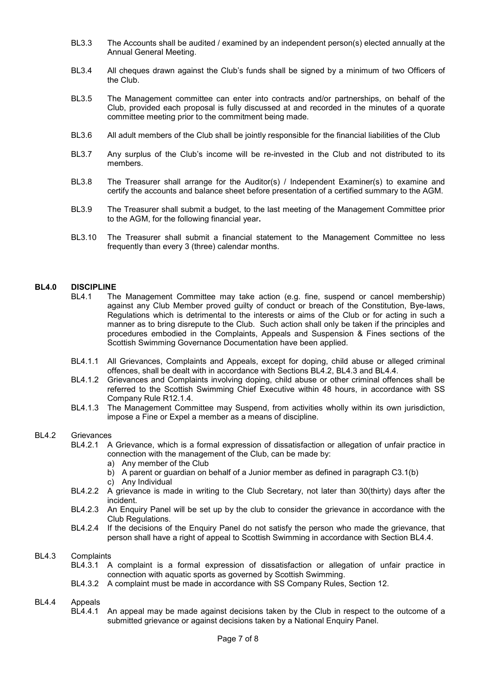- BL3.3 The Accounts shall be audited / examined by an independent person(s) elected annually at the Annual General Meeting.
- BL3.4 All cheques drawn against the Club's funds shall be signed by a minimum of two Officers of the Club.
- BL3.5 The Management committee can enter into contracts and/or partnerships, on behalf of the Club, provided each proposal is fully discussed at and recorded in the minutes of a quorate committee meeting prior to the commitment being made.
- BL3.6 All adult members of the Club shall be jointly responsible for the financial liabilities of the Club
- BL3.7 Any surplus of the Club's income will be re-invested in the Club and not distributed to its members.
- BL3.8 The Treasurer shall arrange for the Auditor(s) / Independent Examiner(s) to examine and certify the accounts and balance sheet before presentation of a certified summary to the AGM.
- BL3.9 The Treasurer shall submit a budget, to the last meeting of the Management Committee prior to the AGM, for the following financial year**.**
- BL3.10 The Treasurer shall submit a financial statement to the Management Committee no less frequently than every 3 (three) calendar months.

#### **BL4.0 DISCIPLINE**

- BL4.1 The Management Committee may take action (e.g. fine, suspend or cancel membership) against any Club Member proved guilty of conduct or breach of the Constitution, Bye-laws, Regulations which is detrimental to the interests or aims of the Club or for acting in such a manner as to bring disrepute to the Club. Such action shall only be taken if the principles and procedures embodied in the Complaints, Appeals and Suspension & Fines sections of the Scottish Swimming Governance Documentation have been applied.
- BL4.1.1 All Grievances, Complaints and Appeals, except for doping, child abuse or alleged criminal offences, shall be dealt with in accordance with Sections BL4.2, BL4.3 and BL4.4.
- BL4.1.2 Grievances and Complaints involving doping, child abuse or other criminal offences shall be referred to the Scottish Swimming Chief Executive within 48 hours, in accordance with SS Company Rule R12.1.4.
- BL4.1.3 The Management Committee may Suspend, from activities wholly within its own jurisdiction, impose a Fine or Expel a member as a means of discipline.

#### BL4.2 Grievances

- BL4.2.1 A Grievance, which is a formal expression of dissatisfaction or allegation of unfair practice in connection with the management of the Club, can be made by:
	- a) Any member of the Club
	- b) A parent or guardian on behalf of a Junior member as defined in paragraph C3.1(b)
	- c) Any Individual
- BL4.2.2 A grievance is made in writing to the Club Secretary, not later than 30(thirty) days after the incident.
- BL4.2.3 An Enquiry Panel will be set up by the club to consider the grievance in accordance with the Club Regulations.
- BL4.2.4 If the decisions of the Enquiry Panel do not satisfy the person who made the grievance, that person shall have a right of appeal to Scottish Swimming in accordance with Section BL4.4.

#### BL4.3 Complaints

- BL4.3.1 A complaint is a formal expression of dissatisfaction or allegation of unfair practice in connection with aquatic sports as governed by Scottish Swimming.
- BL4.3.2 A complaint must be made in accordance with SS Company Rules, Section 12.

# BL4.4 Appeals<br>BL4.4.1

An appeal may be made against decisions taken by the Club in respect to the outcome of a submitted grievance or against decisions taken by a National Enquiry Panel.